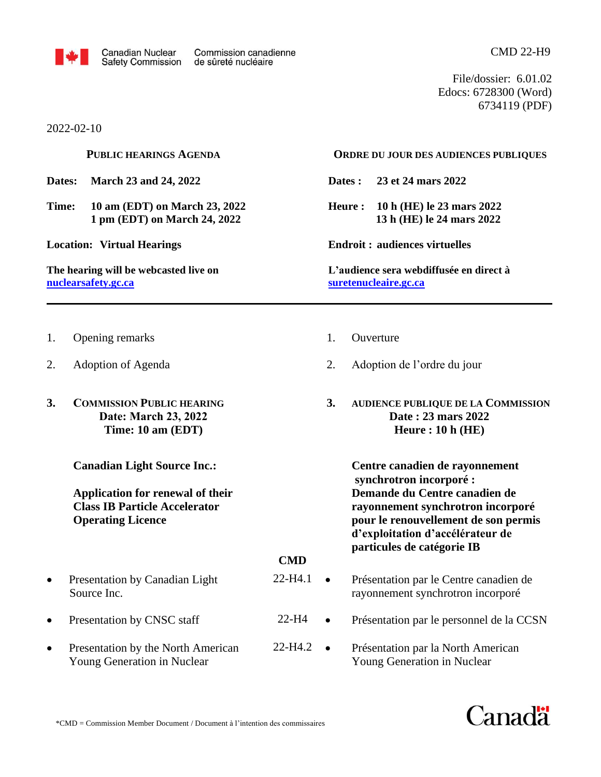

File/dossier: 6.01.02 Edocs: 6728300 (Word) 6734119 (PDF)

2022-02-10

**PUBLIC HEARINGS AGENDA**

**Dates: March 23 and 24, 2022**

**Time: 10 am (EDT) on March 23, 2022 1 pm (EDT) on March 24, 2022**

**Location: Virtual Hearings**

**The hearing will be webcasted live on [nuclearsafety.gc.ca](http://www.nuclearsafety.gc.ca/)**

## **ORDRE DU JOUR DES AUDIENCES PUBLIQUES**

**Dates : 23 et 24 mars 2022**

**Heure : 10 h (HE) le 23 mars 2022 13 h (HE) le 24 mars 2022**

**Endroit : audiences virtuelles**

**L'audience sera webdiffusée en direct à [suretenucleaire.gc.ca](http://www.suretenucleaire.gc.ca/)**

- 1. Opening remarks
- 2. Adoption of Agenda
- **3. COMMISSION PUBLIC HEARING Date: March 23, 2022 Time: 10 am (EDT)**

**Canadian Light Source Inc.:**

**Application for renewal of their Class IB Particle Accelerator Operating Licence**

- Presentation by Canadian Light Source Inc.
- Presentation by CNSC staff
- Presentation by the North American Young Generation in Nuclear
- 1. Ouverture
- 2. Adoption de l'ordre du jour
- **3. AUDIENCE PUBLIQUE DE LA COMMISSION Date : 23 mars 2022 Heure : 10 h (HE)**

**Centre canadien de rayonnement synchrotron incorporé : Demande du Centre canadien de rayonnement synchrotron incorporé pour le renouvellement de son permis d'exploitation d'accélérateur de particules de catégorie IB**

## **CMD**

- 22-H4.1 • Présentation par le Centre canadien de rayonnement synchrotron incorporé
- 22-H4 • Présentation par le personnel de la CCSN
- $22-H4.2$   $\bullet$ • Présentation par la North American Young Generation in Nuclear

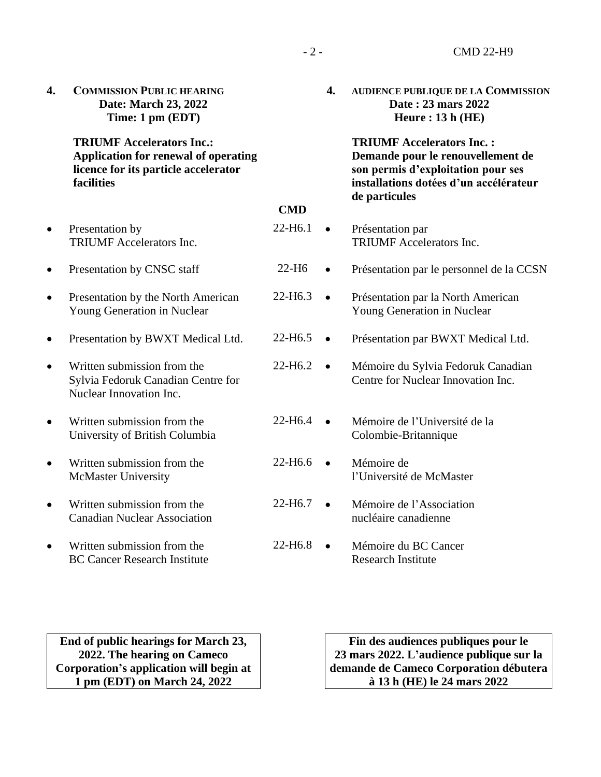| 4.        | <b>COMMISSION PUBLIC HEARING</b><br>Date: March 23, 2022<br>Time: 1 pm (EDT)                                                   |                     | 4.        | <b>AUDIENCE PUBLIQUE DE LA COMMISSION</b><br>Date: 23 mars 2022<br>Heure: $13h$ (HE)                                                                                   |
|-----------|--------------------------------------------------------------------------------------------------------------------------------|---------------------|-----------|------------------------------------------------------------------------------------------------------------------------------------------------------------------------|
|           | <b>TRIUMF Accelerators Inc.:</b><br>Application for renewal of operating<br>licence for its particle accelerator<br>facilities |                     |           | <b>TRIUMF Accelerators Inc.:</b><br>Demande pour le renouvellement de<br>son permis d'exploitation pour ses<br>installations dotées d'un accélérateur<br>de particules |
|           |                                                                                                                                | <b>CMD</b>          |           |                                                                                                                                                                        |
| $\bullet$ | Presentation by<br><b>TRIUMF</b> Accelerators Inc.                                                                             | 22-H6.1             | $\bullet$ | Présentation par<br><b>TRIUMF</b> Accelerators Inc.                                                                                                                    |
| $\bullet$ | Presentation by CNSC staff                                                                                                     | $22-H6$             | $\bullet$ | Présentation par le personnel de la CCSN                                                                                                                               |
| $\bullet$ | Presentation by the North American<br>Young Generation in Nuclear                                                              | 22-H6.3             | $\bullet$ | Présentation par la North American<br>Young Generation in Nuclear                                                                                                      |
|           | Presentation by BWXT Medical Ltd.                                                                                              | 22-H <sub>6.5</sub> | $\bullet$ | Présentation par BWXT Medical Ltd.                                                                                                                                     |
| $\bullet$ | Written submission from the<br>Sylvia Fedoruk Canadian Centre for<br>Nuclear Innovation Inc.                                   | 22-H <sub>6.2</sub> | $\bullet$ | Mémoire du Sylvia Fedoruk Canadian<br>Centre for Nuclear Innovation Inc.                                                                                               |
| $\bullet$ | Written submission from the<br>University of British Columbia                                                                  | 22-H6.4             | $\bullet$ | Mémoire de l'Université de la<br>Colombie-Britannique                                                                                                                  |
|           | Written submission from the<br><b>McMaster University</b>                                                                      | 22-H6.6             | $\bullet$ | Mémoire de<br>l'Université de McMaster                                                                                                                                 |
|           | Written submission from the<br><b>Canadian Nuclear Association</b>                                                             | 22-H6.7             | $\bullet$ | Mémoire de l'Association<br>nucléaire canadienne                                                                                                                       |
|           | Written submission from the<br><b>BC Cancer Research Institute</b>                                                             | 22-H6.8             | $\bullet$ | Mémoire du BC Cancer<br><b>Research Institute</b>                                                                                                                      |

**End of public hearings for March 23, 2022. The hearing on Cameco Corporation's application will begin at 1 pm (EDT) on March 24, 2022**

**Fin des audiences publiques pour le 23 mars 2022. L'audience publique sur la demande de Cameco Corporation débutera à 13 h (HE) le 24 mars 2022**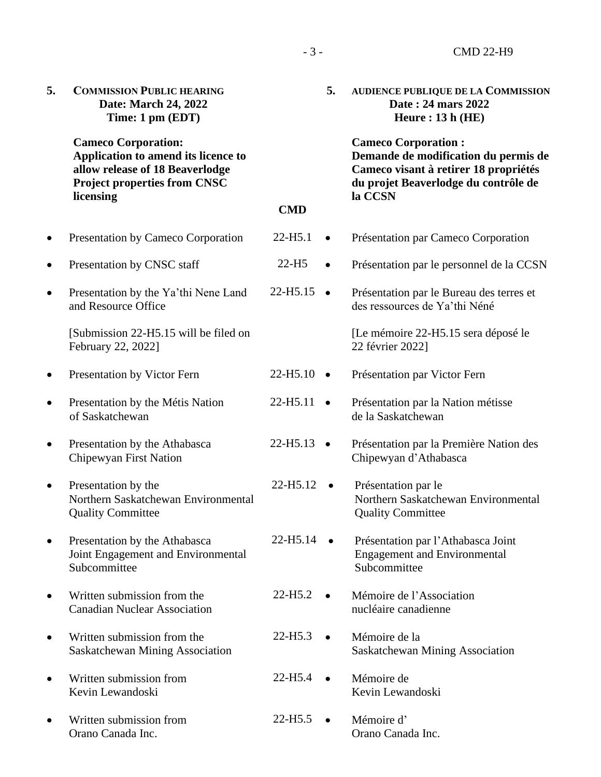| 5.        | <b>COMMISSION PUBLIC HEARING</b><br>Date: March 24, 2022<br>Time: 1 pm (EDT)                                                                             |                      | 5.        | <b>AUDIENCE PUBLIQUE DE LA COMMISSION</b><br>Date: 24 mars 2022<br>Heure: $13h$ (HE)                                                                           |
|-----------|----------------------------------------------------------------------------------------------------------------------------------------------------------|----------------------|-----------|----------------------------------------------------------------------------------------------------------------------------------------------------------------|
|           | <b>Cameco Corporation:</b><br>Application to amend its licence to<br>allow release of 18 Beaverlodge<br><b>Project properties from CNSC</b><br>licensing | <b>CMD</b>           |           | <b>Cameco Corporation:</b><br>Demande de modification du permis de<br>Cameco visant à retirer 18 propriétés<br>du projet Beaverlodge du contrôle de<br>la CCSN |
| $\bullet$ | Presentation by Cameco Corporation                                                                                                                       | 22-H5.1              | $\bullet$ | Présentation par Cameco Corporation                                                                                                                            |
| $\bullet$ | Presentation by CNSC staff                                                                                                                               | $22-H5$              | $\bullet$ | Présentation par le personnel de la CCSN                                                                                                                       |
| ٠         | Presentation by the Ya'thi Nene Land<br>and Resource Office                                                                                              | 22-H <sub>5.15</sub> | $\bullet$ | Présentation par le Bureau des terres et<br>des ressources de Ya'thi Néné                                                                                      |
|           | [Submission 22-H5.15 will be filed on<br>February 22, 2022]                                                                                              |                      |           | [Le mémoire 22-H5.15 sera déposé le<br>22 février 2022]                                                                                                        |
| $\bullet$ | Presentation by Victor Fern                                                                                                                              | $22-H5.10$ $\bullet$ |           | Présentation par Victor Fern                                                                                                                                   |
| $\bullet$ | Presentation by the Métis Nation<br>of Saskatchewan                                                                                                      | 22-H5.11             | $\bullet$ | Présentation par la Nation métisse<br>de la Saskatchewan                                                                                                       |
| $\bullet$ | Presentation by the Athabasca<br>Chipewyan First Nation                                                                                                  | 22-H5.13             | $\bullet$ | Présentation par la Première Nation des<br>Chipewyan d'Athabasca                                                                                               |
| ٠         | Presentation by the<br>Northern Saskatchewan Environmental<br><b>Quality Committee</b>                                                                   | 22-H5.12             | $\bullet$ | Présentation par le<br>Northern Saskatchewan Environmental<br><b>Quality Committee</b>                                                                         |
|           | Presentation by the Athabasca<br>Joint Engagement and Environmental<br>Subcommittee                                                                      | 22-H5.14             |           | Présentation par l'Athabasca Joint<br><b>Engagement and Environmental</b><br>Subcommittee                                                                      |
|           | Written submission from the<br><b>Canadian Nuclear Association</b>                                                                                       | $22-H5.2$            |           | Mémoire de l'Association<br>nucléaire canadienne                                                                                                               |
|           | Written submission from the<br><b>Saskatchewan Mining Association</b>                                                                                    | $22-H5.3$            | $\bullet$ | Mémoire de la<br>Saskatchewan Mining Association                                                                                                               |
|           | Written submission from<br>Kevin Lewandoski                                                                                                              | $22-H5.4$            |           | Mémoire de<br>Kevin Lewandoski                                                                                                                                 |
|           | Written submission from<br>Orano Canada Inc.                                                                                                             | 22-H <sub>5.5</sub>  | $\bullet$ | Mémoire d'<br>Orano Canada Inc.                                                                                                                                |